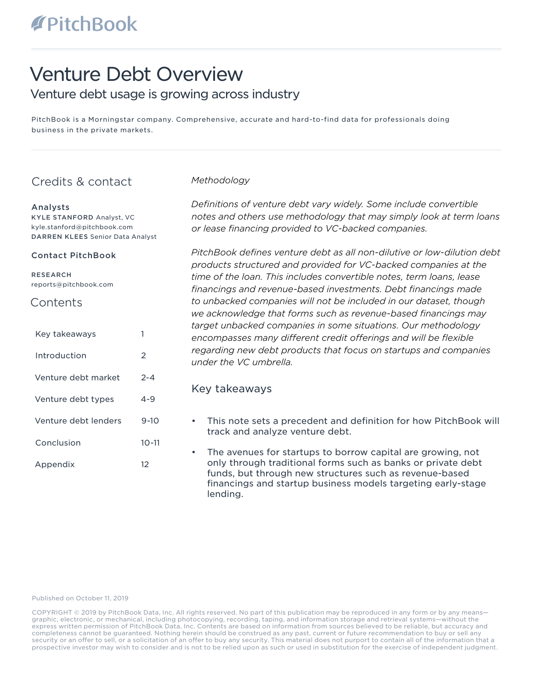# Venture Debt Overview

# Venture debt usage is growing across industry

PitchBook is a Morningstar company. Comprehensive, accurate and hard-to-find data for professionals doing business in the private markets.

# Credits & contact

#### Analysts

KYLE STANFORD Analyst, VC kyle.stanford@pitchbook.com DARREN KLEES Senior Data Analyst

#### Contact PitchBook

RESEARCH reports@pitchbook.com

# **Contents**

| Key takeaways        |               |
|----------------------|---------------|
| Introduction         | $\mathcal{P}$ |
| Venture debt market  | $2 - 4$       |
| Venture debt types   | $4 - 9$       |
| Venture debt lenders | $9 - 10$      |
| Conclusion           | $10 - 11$     |
| Appendix             | 12            |

# *Methodology*

*Definitions of venture debt vary widely. Some include convertible notes and others use methodology that may simply look at term loans or lease financing provided to VC-backed companies.* 

*PitchBook defines venture debt as all non-dilutive or low-dilution debt products structured and provided for VC-backed companies at the time of the loan. This includes convertible notes, term loans, lease financings and revenue-based investments. Debt financings made to unbacked companies will not be included in our dataset, though we acknowledge that forms such as revenue-based financings may target unbacked companies in some situations. Our methodology encompasses many different credit offerings and will be flexible regarding new debt products that focus on startups and companies under the VC umbrella.*

# Key takeaways

- This note sets a precedent and definition for how PitchBook will track and analyze venture debt.
- The avenues for startups to borrow capital are growing, not only through traditional forms such as banks or private debt funds, but through new structures such as revenue-based financings and startup business models targeting early-stage lending.

Published on October 11, 2019

COPYRIGHT © 2019 by PitchBook Data, Inc. All rights reserved. No part of this publication may be reproduced in any form or by any means graphic, electronic, or mechanical, including photocopying, recording, taping, and information storage and retrieval systems—without the express written permission of PitchBook Data, Inc. Contents are based on information from sources believed to be reliable, but accuracy and completeness cannot be guaranteed. Nothing herein should be construed as any past, current or future recommendation to buy or sell any security or an offer to sell, or a solicitation of an offer to buy any security. This material does not purport to contain all of the information that a prospective investor may wish to consider and is not to be relied upon as such or used in substitution for the exercise of independent judgment.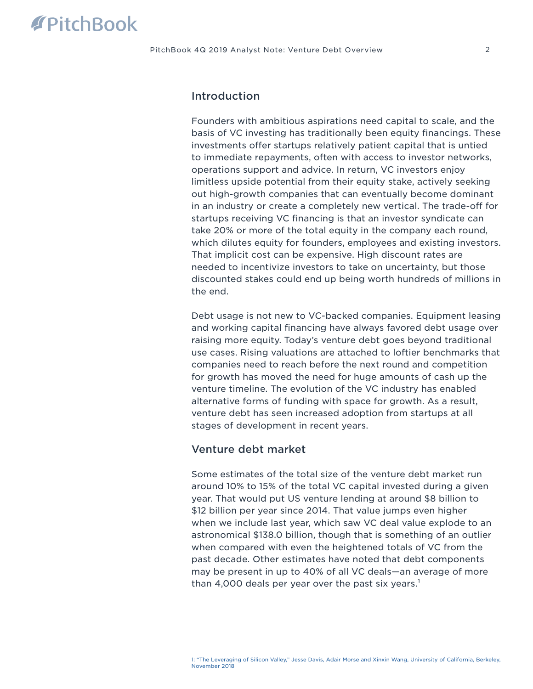# Introduction

Founders with ambitious aspirations need capital to scale, and the basis of VC investing has traditionally been equity financings. These investments offer startups relatively patient capital that is untied to immediate repayments, often with access to investor networks, operations support and advice. In return, VC investors enjoy limitless upside potential from their equity stake, actively seeking out high-growth companies that can eventually become dominant in an industry or create a completely new vertical. The trade-off for startups receiving VC financing is that an investor syndicate can take 20% or more of the total equity in the company each round, which dilutes equity for founders, employees and existing investors. That implicit cost can be expensive. High discount rates are needed to incentivize investors to take on uncertainty, but those discounted stakes could end up being worth hundreds of millions in the end.

Debt usage is not new to VC-backed companies. Equipment leasing and working capital financing have always favored debt usage over raising more equity. Today's venture debt goes beyond traditional use cases. Rising valuations are attached to loftier benchmarks that companies need to reach before the next round and competition for growth has moved the need for huge amounts of cash up the venture timeline. The evolution of the VC industry has enabled alternative forms of funding with space for growth. As a result, venture debt has seen increased adoption from startups at all stages of development in recent years.

# Venture debt market

Some estimates of the total size of the venture debt market run around 10% to 15% of the total VC capital invested during a given year. That would put US venture lending at around \$8 billion to \$12 billion per year since 2014. That value jumps even higher when we include last year, which saw VC deal value explode to an astronomical \$138.0 billion, though that is something of an outlier when compared with even the heightened totals of VC from the past decade. Other estimates have noted that debt components may be present in up to 40% of all VC deals—an average of more than 4,000 deals per year over the past six years.<sup>1</sup>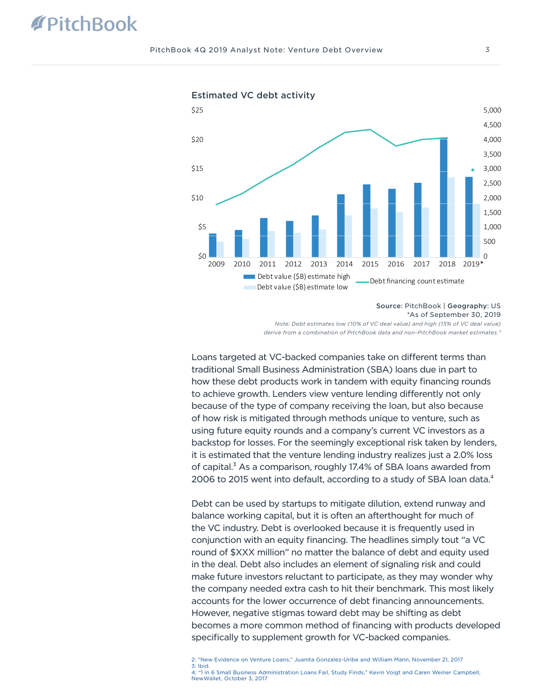

Estimated VC debt activity

Source: PitchBook | Geography: US

\*As of September 30, 2019

*Note: Debt estimates low (10% of VC deal value) and high (15% of VC deal value) derive from a combination of PitchBook data and non-PitchBook market estimates.²*

Loans targeted at VC-backed companies take on different terms than traditional Small Business Administration (SBA) loans due in part to how these debt products work in tandem with equity financing rounds to achieve growth. Lenders view venture lending differently not only because of the type of company receiving the loan, but also because of how risk is mitigated through methods unique to venture, such as using future equity rounds and a company's current VC investors as a backstop for losses. For the seemingly exceptional risk taken by lenders, it is estimated that the venture lending industry realizes just a 2.0% loss of capital.<sup>3</sup> As a comparison, roughly 17.4% of SBA loans awarded from 2006 to 2015 went into default, according to a study of SBA loan data.<sup>4</sup>

Debt can be used by startups to mitigate dilution, extend runway and balance working capital, but it is often an afterthought for much of the VC industry. Debt is overlooked because it is frequently used in conjunction with an equity financing. The headlines simply tout "a VC round of \$XXX million" no matter the balance of debt and equity used in the deal. Debt also includes an element of signaling risk and could make future investors reluctant to participate, as they may wonder why the company needed extra cash to hit their benchmark. This most likely accounts for the lower occurrence of debt financing announcements. However, negative stigmas toward debt may be shifting as debt becomes a more common method of financing with products developed specifically to supplement growth for VC-backed companies.

2: ["New Evidence on Venture Loans," Juanita Gonzalez-Uribe and William Mann, November 21, 2017](http://www.fmaconferences.org/Napa/2018/Papers/VL_Napa.pdf) 3: [Ibid.](http://www.fmaconferences.org/Napa/2018/Papers/VL_Napa.pdf) 4: ["1 in 6 Small Business Administration Loans Fail, Study Finds," Kevin Voigt and Caren Weiner Campbell,]( https://www.nerdwallet.com/blog/small-business/study-1-in-6-sba-small-business-administration-loans-fail/)  [NewWallet, October 3, 2017]( https://www.nerdwallet.com/blog/small-business/study-1-in-6-sba-small-business-administration-loans-fail/)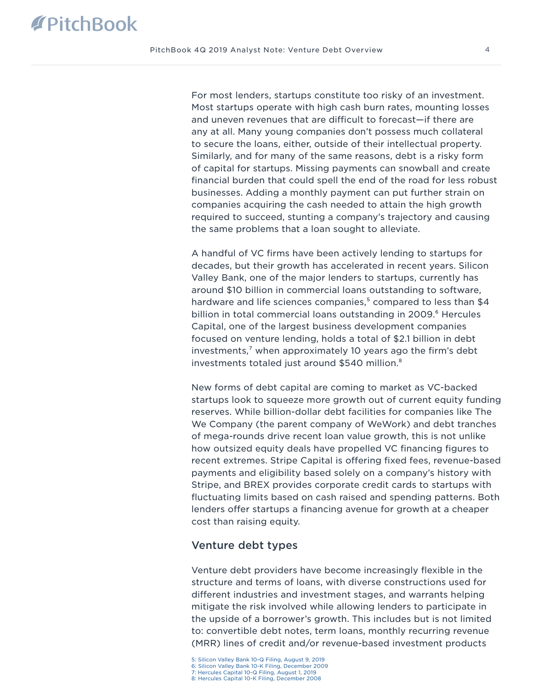For most lenders, startups constitute too risky of an investment. Most startups operate with high cash burn rates, mounting losses and uneven revenues that are difficult to forecast—if there are any at all. Many young companies don't possess much collateral to secure the loans, either, outside of their intellectual property. Similarly, and for many of the same reasons, debt is a risky form of capital for startups. Missing payments can snowball and create financial burden that could spell the end of the road for less robust businesses. Adding a monthly payment can put further strain on companies acquiring the cash needed to attain the high growth required to succeed, stunting a company's trajectory and causing the same problems that a loan sought to alleviate.

A handful of VC firms have been actively lending to startups for decades, but their growth has accelerated in recent years. Silicon Valley Bank, one of the major lenders to startups, currently has around \$10 billion in commercial loans outstanding to software, hardware and life sciences companies,<sup>5</sup> compared to less than \$4 billion in total commercial loans outstanding in 2009.<sup>6</sup> Hercules Capital, one of the largest business development companies focused on venture lending, holds a total of \$2.1 billion in debt investments,<sup>7</sup> when approximately 10 years ago the firm's debt investments totaled just around \$540 million.<sup>8</sup>

New forms of debt capital are coming to market as VC-backed startups look to squeeze more growth out of current equity funding reserves. While billion-dollar debt facilities for companies like The We Company (the parent company of WeWork) and debt tranches of mega-rounds drive recent loan value growth, this is not unlike how outsized equity deals have propelled VC financing figures to recent extremes. Stripe Capital is offering fixed fees, revenue-based payments and eligibility based solely on a company's history with Stripe, and BREX provides corporate credit cards to startups with fluctuating limits based on cash raised and spending patterns. Both lenders offer startups a financing avenue for growth at a cheaper cost than raising equity.

### Venture debt types

Venture debt providers have become increasingly flexible in the structure and terms of loans, with diverse constructions used for different industries and investment stages, and warrants helping mitigate the risk involved while allowing lenders to participate in the upside of a borrower's growth. This includes but is not limited to: convertible debt notes, term loans, monthly recurring revenue (MRR) lines of credit and/or revenue-based investment products

8: [Hercules Capital 10-K Filing, December 2008](http://investor.htgc.com/Cache/7509171.pdf)

<sup>5:</sup> [Silicon Valley Bank 10-Q Filing, August 9, 2019](https://ir.svb.com/static-files/3ad1c1ed-574c-4f3a-9bfd-2aa14cb31c9a)  6: [Silicon Valley Bank 10-K Filing, December 2009](https://ir.svb.com/static-files/5039c2e5-1e86-48b5-8f66-aae8f5b2c320)

<sup>7:</sup> [Hercules Capital 10-Q Filing, August 1, 2019](http://investor.htgc.com/Cache/399030769.PDF?O=PDF&T=&Y=&D=&FID=399030769&iid=4102290)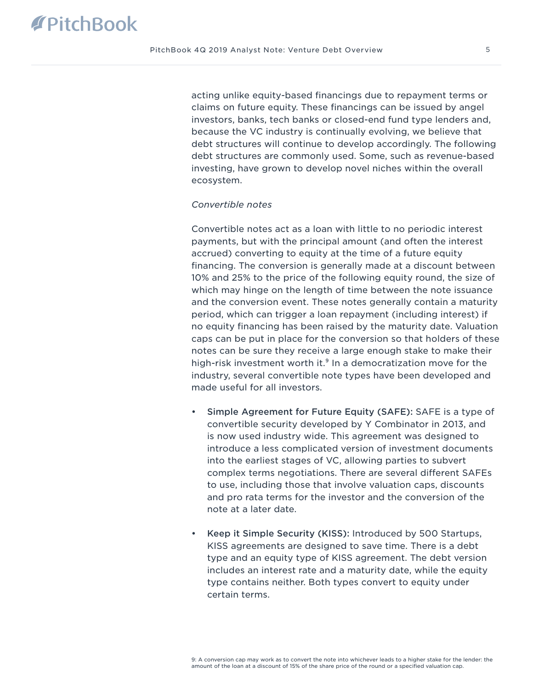acting unlike equity-based financings due to repayment terms or claims on future equity. These financings can be issued by angel investors, banks, tech banks or closed-end fund type lenders and, because the VC industry is continually evolving, we believe that debt structures will continue to develop accordingly. The following debt structures are commonly used. Some, such as revenue-based investing, have grown to develop novel niches within the overall ecosystem.

#### *Convertible notes*

Convertible notes act as a loan with little to no periodic interest payments, but with the principal amount (and often the interest accrued) converting to equity at the time of a future equity financing. The conversion is generally made at a discount between 10% and 25% to the price of the following equity round, the size of which may hinge on the length of time between the note issuance and the conversion event. These notes generally contain a maturity period, which can trigger a loan repayment (including interest) if no equity financing has been raised by the maturity date. Valuation caps can be put in place for the conversion so that holders of these notes can be sure they receive a large enough stake to make their high-risk investment worth it.<sup>9</sup> In a democratization move for the industry, several convertible note types have been developed and made useful for all investors.

- Simple Agreement for Future Equity (SAFE): SAFE is a type of convertible security developed by Y Combinator in 2013, and is now used industry wide. This agreement was designed to introduce a less complicated version of investment documents into the earliest stages of VC, allowing parties to subvert complex terms negotiations. There are several different SAFEs to use, including those that involve valuation caps, discounts and pro rata terms for the investor and the conversion of the note at a later date.
- Keep it Simple Security (KISS): Introduced by 500 Startups, KISS agreements are designed to save time. There is a debt type and an equity type of KISS agreement. The debt version includes an interest rate and a maturity date, while the equity type contains neither. Both types convert to equity under certain terms.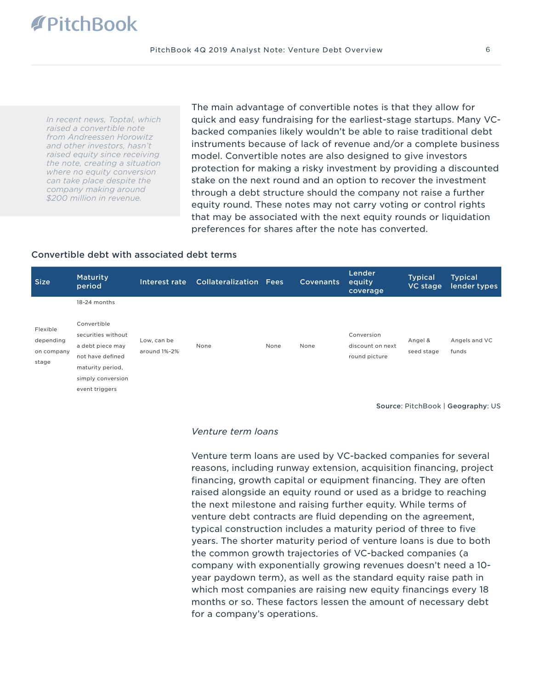*In recent news, Toptal, which raised a convertible note from Andreessen Horowitz and other investors, hasn't raised equity since receiving the note, creating a situation where no equity conversion can take place despite the company making around \$200 million in revenue.*

The main advantage of convertible notes is that they allow for quick and easy fundraising for the earliest-stage startups. Many VCbacked companies likely wouldn't be able to raise traditional debt instruments because of lack of revenue and/or a complete business model. Convertible notes are also designed to give investors protection for making a risky investment by providing a discounted stake on the next round and an option to recover the investment through a debt structure should the company not raise a further equity round. These notes may not carry voting or control rights that may be associated with the next equity rounds or liquidation preferences for shares after the note has converted.

#### Convertible debt with associated debt terms

| <b>Size</b>                                  | <b>Maturity</b><br>period                                                                 | Interest rate               | <b>Collateralization Fees</b> |      | <b>Covenants</b> | Lender<br>equity<br>coverage                    | <b>Typical</b><br>VC stage | <b>Typical</b><br>lender types |
|----------------------------------------------|-------------------------------------------------------------------------------------------|-----------------------------|-------------------------------|------|------------------|-------------------------------------------------|----------------------------|--------------------------------|
| Flexible<br>depending<br>on company<br>stage | 18-24 months<br>Convertible<br>securities without<br>a debt piece may<br>not have defined | Low, can be<br>around 1%-2% | None                          | None | None             | Conversion<br>discount on next<br>round picture | Angel &<br>seed stage      | Angels and VC<br>funds         |
|                                              | maturity period,<br>simply conversion<br>event triggers                                   |                             |                               |      |                  |                                                 |                            |                                |

Source: PitchBook | Geography: US

#### *Venture term loans*

Venture term loans are used by VC-backed companies for several reasons, including runway extension, acquisition financing, project financing, growth capital or equipment financing. They are often raised alongside an equity round or used as a bridge to reaching the next milestone and raising further equity. While terms of venture debt contracts are fluid depending on the agreement, typical construction includes a maturity period of three to five years. The shorter maturity period of venture loans is due to both the common growth trajectories of VC-backed companies (a company with exponentially growing revenues doesn't need a 10 year paydown term), as well as the standard equity raise path in which most companies are raising new equity financings every 18 months or so. These factors lessen the amount of necessary debt for a company's operations.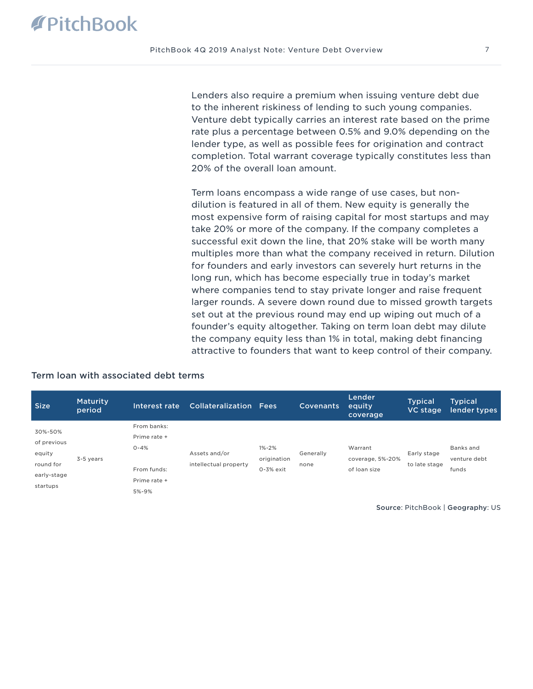Lenders also require a premium when issuing venture debt due to the inherent riskiness of lending to such young companies. Venture debt typically carries an interest rate based on the prime rate plus a percentage between 0.5% and 9.0% depending on the lender type, as well as possible fees for origination and contract completion. Total warrant coverage typically constitutes less than 20% of the overall loan amount.

Term loans encompass a wide range of use cases, but nondilution is featured in all of them. New equity is generally the most expensive form of raising capital for most startups and may take 20% or more of the company. If the company completes a successful exit down the line, that 20% stake will be worth many multiples more than what the company received in return. Dilution for founders and early investors can severely hurt returns in the long run, which has become especially true in today's market where companies tend to stay private longer and raise frequent larger rounds. A severe down round due to missed growth targets set out at the previous round may end up wiping out much of a founder's equity altogether. Taking on term loan debt may dilute the company equity less than 1% in total, making debt financing attractive to founders that want to keep control of their company.

| <b>Size</b> | <b>Maturity</b><br>period | Interest rate | <b>Collateralization Fees</b> |               | <b>Covenants</b> | Lender<br>equity<br>coverage | <b>Typical</b><br>VC stage | <b>Typical</b><br>lender types |
|-------------|---------------------------|---------------|-------------------------------|---------------|------------------|------------------------------|----------------------------|--------------------------------|
| 30%-50%     |                           | From banks:   |                               |               |                  |                              |                            |                                |
|             |                           | Prime rate +  |                               |               |                  |                              |                            |                                |
| of previous |                           | $0 - 4%$      |                               | $1% - 2%$     |                  | Warrant                      |                            | Banks and                      |
| equity      | 3-5 years                 |               | Assets and/or                 | origination   | Generally        | coverage, 5%-20%             | Early stage                | venture debt                   |
| round for   |                           | From funds:   | intellectual property         | $0 - 3%$ exit | none             | of loan size                 | to late stage              | funds                          |
| early-stage |                           | Prime rate +  |                               |               |                  |                              |                            |                                |
| startups    |                           | 5%-9%         |                               |               |                  |                              |                            |                                |

# Term loan with associated debt terms

Source: PitchBook | Geography: US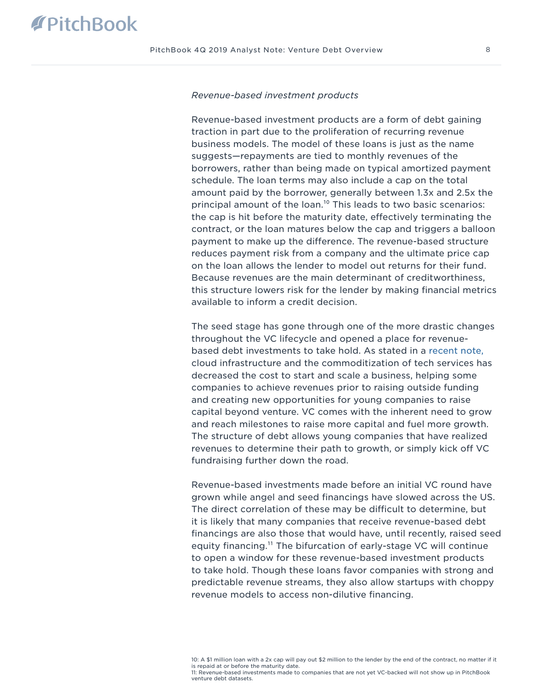#### *Revenue-based investment products*

Revenue-based investment products are a form of debt gaining traction in part due to the proliferation of recurring revenue business models. The model of these loans is just as the name suggests—repayments are tied to monthly revenues of the borrowers, rather than being made on typical amortized payment schedule. The loan terms may also include a cap on the total amount paid by the borrower, generally between 1.3x and 2.5x the principal amount of the loan.<sup>10</sup> This leads to two basic scenarios: the cap is hit before the maturity date, effectively terminating the contract, or the loan matures below the cap and triggers a balloon payment to make up the difference. The revenue-based structure reduces payment risk from a company and the ultimate price cap on the loan allows the lender to model out returns for their fund. Because revenues are the main determinant of creditworthiness, this structure lowers risk for the lender by making financial metrics available to inform a credit decision.

The seed stage has gone through one of the more drastic changes throughout the VC lifecycle and opened a place for revenuebased debt investments to take hold. As stated in a [recent note,](https://files.pitchbook.com/website/files/pdf/3Q_2019_PitchBook_Analyst_Note_The_Emergence_of_Pre_Seed.pdf) cloud infrastructure and the commoditization of tech services has decreased the cost to start and scale a business, helping some companies to achieve revenues prior to raising outside funding and creating new opportunities for young companies to raise capital beyond venture. VC comes with the inherent need to grow and reach milestones to raise more capital and fuel more growth. The structure of debt allows young companies that have realized revenues to determine their path to growth, or simply kick off VC fundraising further down the road.

Revenue-based investments made before an initial VC round have grown while angel and seed financings have slowed across the US. The direct correlation of these may be difficult to determine, but it is likely that many companies that receive revenue-based debt financings are also those that would have, until recently, raised seed equity financing.<sup>11</sup> The bifurcation of early-stage VC will continue to open a window for these revenue-based investment products to take hold. Though these loans favor companies with strong and predictable revenue streams, they also allow startups with choppy revenue models to access non-dilutive financing.

10: A \$1 million loan with a 2x cap will pay out \$2 million to the lender by the end of the contract, no matter if it is repaid at or before the maturity date. 11: Revenue-based investments made to companies that are not yet VC-backed will not show up in PitchBook venture debt datasets.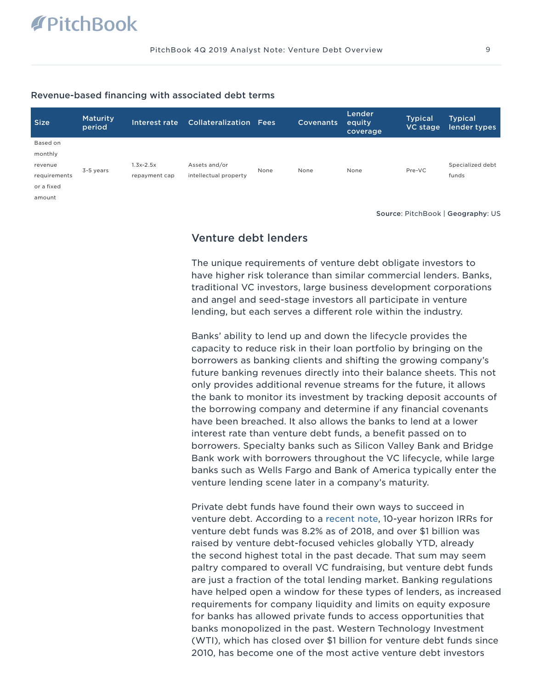#### Revenue-based financing with associated debt terms

| Size         | <b>Maturity</b><br>period | Interest rate | <b>Collateralization Fees</b> |      | Covenants | Lender<br>equity<br>coverage | <b>Typical</b><br>VC stage | <b>Typical</b><br>lender types |
|--------------|---------------------------|---------------|-------------------------------|------|-----------|------------------------------|----------------------------|--------------------------------|
| Based on     |                           |               |                               |      |           |                              |                            |                                |
| monthly      |                           |               |                               |      |           |                              |                            |                                |
| revenue      | 3-5 years                 | $1.3x - 2.5x$ | Assets and/or                 | None | None      | None                         | Pre-VC                     | Specialized debt               |
| requirements |                           | repayment cap | intellectual property         |      |           |                              |                            | funds                          |
| or a fixed   |                           |               |                               |      |           |                              |                            |                                |
| amount       |                           |               |                               |      |           |                              |                            |                                |

Source: PitchBook | Geography: US

# Venture debt lenders

The unique requirements of venture debt obligate investors to have higher risk tolerance than similar commercial lenders. Banks, traditional VC investors, large business development corporations and angel and seed-stage investors all participate in venture lending, but each serves a different role within the industry.

Banks' ability to lend up and down the lifecycle provides the capacity to reduce risk in their loan portfolio by bringing on the borrowers as banking clients and shifting the growing company's future banking revenues directly into their balance sheets. This not only provides additional revenue streams for the future, it allows the bank to monitor its investment by tracking deposit accounts of the borrowing company and determine if any financial covenants have been breached. It also allows the banks to lend at a lower interest rate than venture debt funds, a benefit passed on to borrowers. Specialty banks such as Silicon Valley Bank and Bridge Bank work with borrowers throughout the VC lifecycle, while large banks such as Wells Fargo and Bank of America typically enter the venture lending scene later in a company's maturity.

Private debt funds have found their own ways to succeed in venture debt. According to a [recent note](https://files.pitchbook.com/website/files/pdf/PitchBook_1Q_2018_Analyst_Note_Private_Debt_Performance_Warrants_A_Closer_Look.pdf), 10-year horizon IRRs for venture debt funds was 8.2% as of 2018, and over \$1 billion was raised by venture debt-focused vehicles globally YTD, already the second highest total in the past decade. That sum may seem paltry compared to overall VC fundraising, but venture debt funds are just a fraction of the total lending market. Banking regulations have helped open a window for these types of lenders, as increased requirements for company liquidity and limits on equity exposure for banks has allowed private funds to access opportunities that banks monopolized in the past. Western Technology Investment (WTI), which has closed over \$1 billion for venture debt funds since 2010, has become one of the most active venture debt investors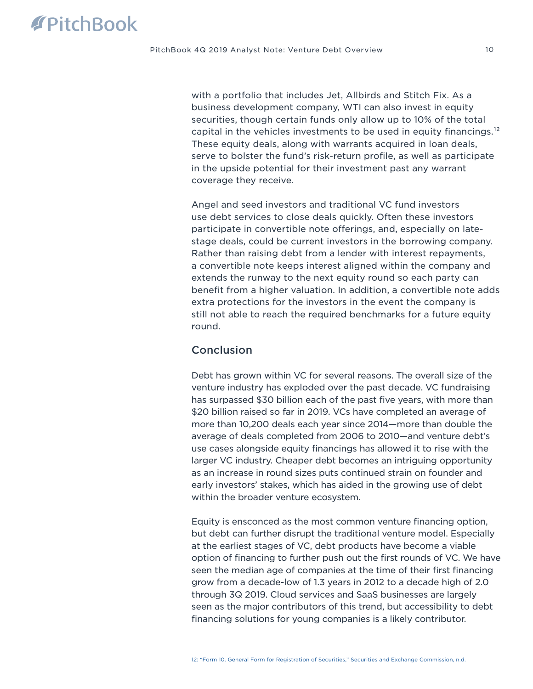with a portfolio that includes Jet, Allbirds and Stitch Fix. As a business development company, WTI can also invest in equity securities, though certain funds only allow up to 10% of the total capital in the vehicles investments to be used in equity financings.<sup>12</sup> These equity deals, along with warrants acquired in loan deals, serve to bolster the fund's risk-return profile, as well as participate in the upside potential for their investment past any warrant coverage they receive.

Angel and seed investors and traditional VC fund investors use debt services to close deals quickly. Often these investors participate in convertible note offerings, and, especially on latestage deals, could be current investors in the borrowing company. Rather than raising debt from a lender with interest repayments, a convertible note keeps interest aligned within the company and extends the runway to the next equity round so each party can benefit from a higher valuation. In addition, a convertible note adds extra protections for the investors in the event the company is still not able to reach the required benchmarks for a future equity round.

### **Conclusion**

Debt has grown within VC for several reasons. The overall size of the venture industry has exploded over the past decade. VC fundraising has surpassed \$30 billion each of the past five years, with more than \$20 billion raised so far in 2019. VCs have completed an average of more than 10,200 deals each year since 2014—more than double the average of deals completed from 2006 to 2010—and venture debt's use cases alongside equity financings has allowed it to rise with the larger VC industry. Cheaper debt becomes an intriguing opportunity as an increase in round sizes puts continued strain on founder and early investors' stakes, which has aided in the growing use of debt within the broader venture ecosystem.

Equity is ensconced as the most common venture financing option, but debt can further disrupt the traditional venture model. Especially at the earliest stages of VC, debt products have become a viable option of financing to further push out the first rounds of VC. We have seen the median age of companies at the time of their first financing grow from a decade-low of 1.3 years in 2012 to a decade high of 2.0 through 3Q 2019. Cloud services and SaaS businesses are largely seen as the major contributors of this trend, but accessibility to debt financing solutions for young companies is a likely contributor.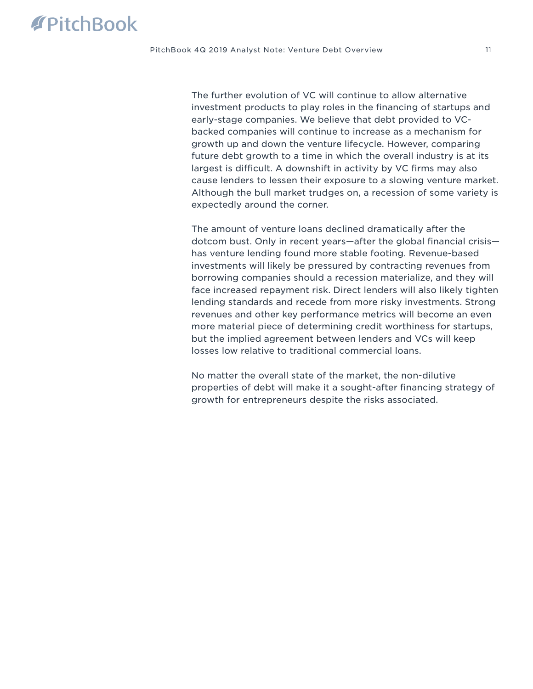The further evolution of VC will continue to allow alternative investment products to play roles in the financing of startups and early-stage companies. We believe that debt provided to VCbacked companies will continue to increase as a mechanism for growth up and down the venture lifecycle. However, comparing future debt growth to a time in which the overall industry is at its largest is difficult. A downshift in activity by VC firms may also cause lenders to lessen their exposure to a slowing venture market. Although the bull market trudges on, a recession of some variety is expectedly around the corner.

The amount of venture loans declined dramatically after the dotcom bust. Only in recent years—after the global financial crisis has venture lending found more stable footing. Revenue-based investments will likely be pressured by contracting revenues from borrowing companies should a recession materialize, and they will face increased repayment risk. Direct lenders will also likely tighten lending standards and recede from more risky investments. Strong revenues and other key performance metrics will become an even more material piece of determining credit worthiness for startups, but the implied agreement between lenders and VCs will keep losses low relative to traditional commercial loans.

No matter the overall state of the market, the non-dilutive properties of debt will make it a sought-after financing strategy of growth for entrepreneurs despite the risks associated.